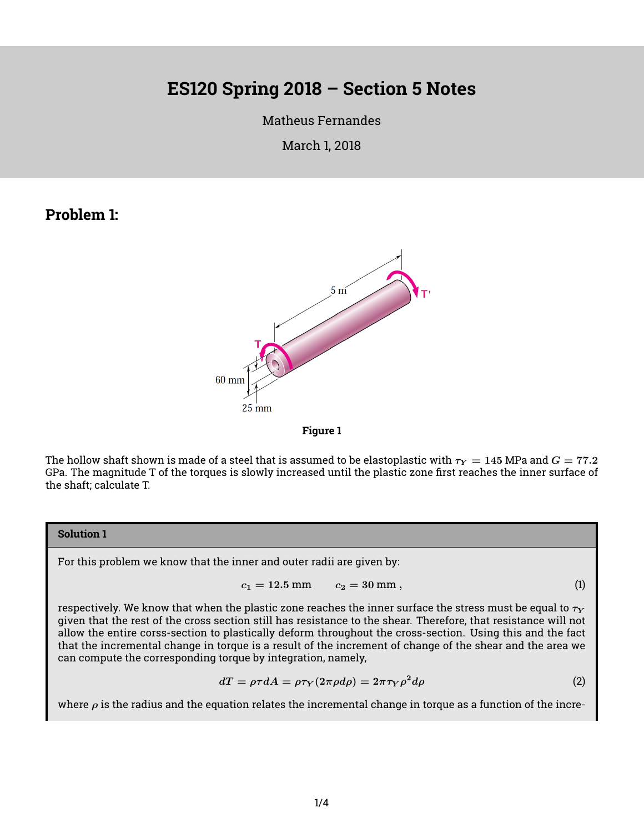# **ES120 Spring 2018 – Section 5 Notes**

# [Matheus Fernandes](http://fer.me)

## March 1, 2018

# **Problem 1:**





The hollow shaft shown is made of a steel that is assumed to be elastoplastic with  $\tau_Y = 145$  MPa and  $G = 77.2$ GPa. The magnitude T of the torques is slowly increased until the plastic zone first reaches the inner surface of the shaft; calculate T.

#### **Solution 1**

For this problem we know that the inner and outer radii are given by:

$$
c_1 = 12.5 \text{ mm} \qquad c_2 = 30 \text{ mm}, \tag{1}
$$

respectively. We know that when the plastic zone reaches the inner surface the stress must be equal to  $\tau_Y$ given that the rest of the cross section still has resistance to the shear. Therefore, that resistance will not allow the entire corss-section to plastically deform throughout the cross-section. Using this and the fact that the incremental change in torque is a result of the increment of change of the shear and the area we can compute the corresponding torque by integration, namely,

$$
dT = \rho \tau dA = \rho \tau_Y (2\pi \rho d\rho) = 2\pi \tau_Y \rho^2 d\rho \tag{2}
$$

where  $\rho$  is the radius and the equation relates the incremental change in torque as a function of the incre-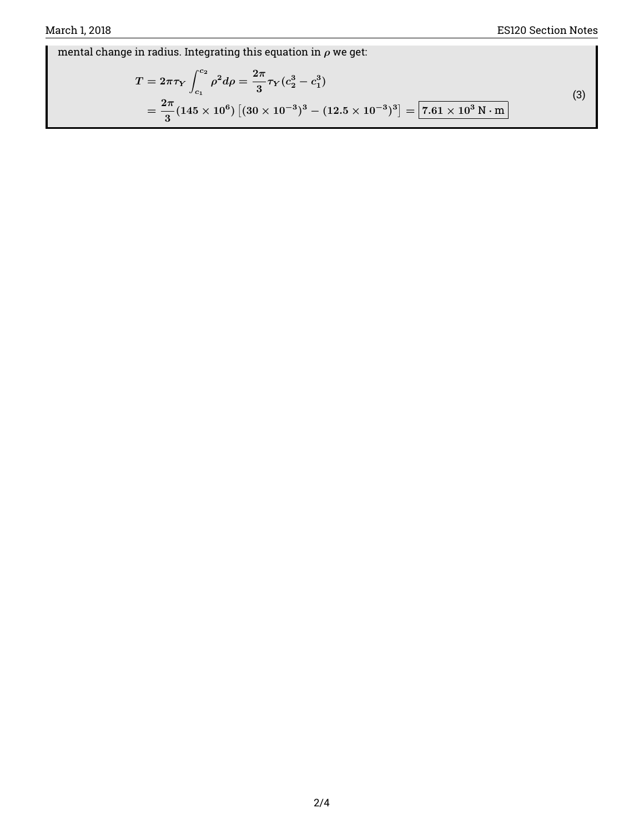mental change in radius. Integrating this equation in  $\rho$  we get:

$$
T = 2\pi\tau_Y \int_{c_1}^{c_2} \rho^2 d\rho = \frac{2\pi}{3} \tau_Y (c_2^3 - c_1^3)
$$
  
=  $\frac{2\pi}{3} (145 \times 10^6) [(30 \times 10^{-3})^3 - (12.5 \times 10^{-3})^3] = 7.61 \times 10^3 \text{ N} \cdot \text{m}$  (3)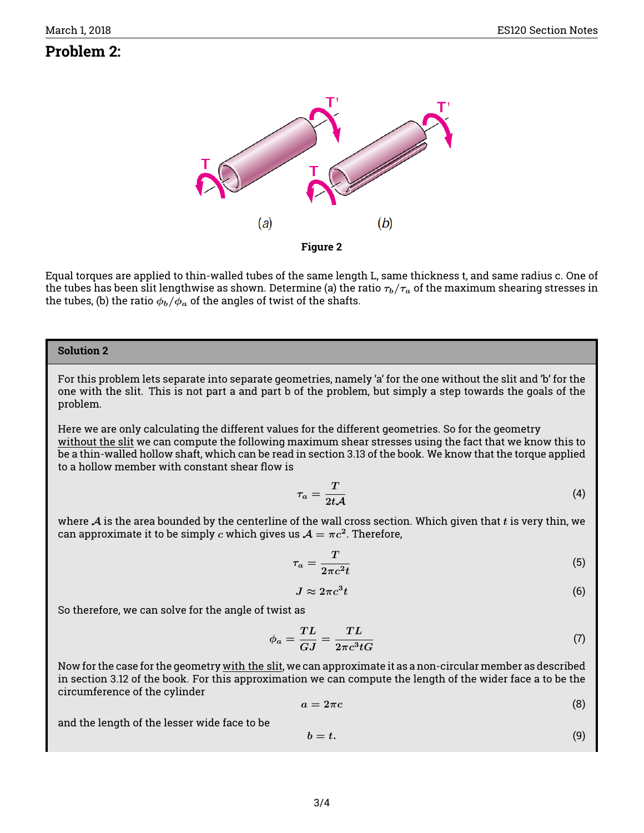# **Problem 2:**



Equal torques are applied to thin-walled tubes of the same length L, same thickness t, and same radius c. One of the tubes has been slit lengthwise as shown. Determine (a) the ratio  $\tau_b/\tau_a$  of the maximum shearing stresses in the tubes, (b) the ratio  $\phi_b/\phi_a$  of the angles of twist of the shafts.

#### **Solution 2**

For this problem lets separate into separate geometries, namely 'a' for the one without the slit and 'b' for the one with the slit. This is not part a and part b of the problem, but simply a step towards the goals of the problem.

Here we are only calculating the different values for the different geometries. So for the geometry without the slit we can compute the following maximum shear stresses using the fact that we know this to be a thin-walled hollow shaft, which can be read in section 3.13 of the book. We know that the torque applied to a hollow member with constant shear flow is

$$
\tau_a = \frac{T}{2t\mathcal{A}}\tag{4}
$$

where  $\mathcal A$  is the area bounded by the centerline of the wall cross section. Which given that t is very thin, we can approximate it to be simply  $c$  which gives us  $\mathcal{A}=\pi c^2.$  Therefore,

$$
\tau_a = \frac{T}{2\pi c^2 t} \tag{5}
$$

$$
J \approx 2\pi c^3 t \tag{6}
$$

So therefore, we can solve for the angle of twist as

$$
\phi_a = \frac{TL}{GJ} = \frac{TL}{2\pi c^3 tG} \tag{7}
$$

Now for the case for the geometry with the slit, we can approximate it as a non-circular member as described in section 3.12 of the book. For this approximation we can compute the length of the wider face a to be the circumference of the cylinder

$$
a = 2\pi c \tag{8}
$$

and the length of the lesser wide face to be

$$
b = t. \tag{9}
$$